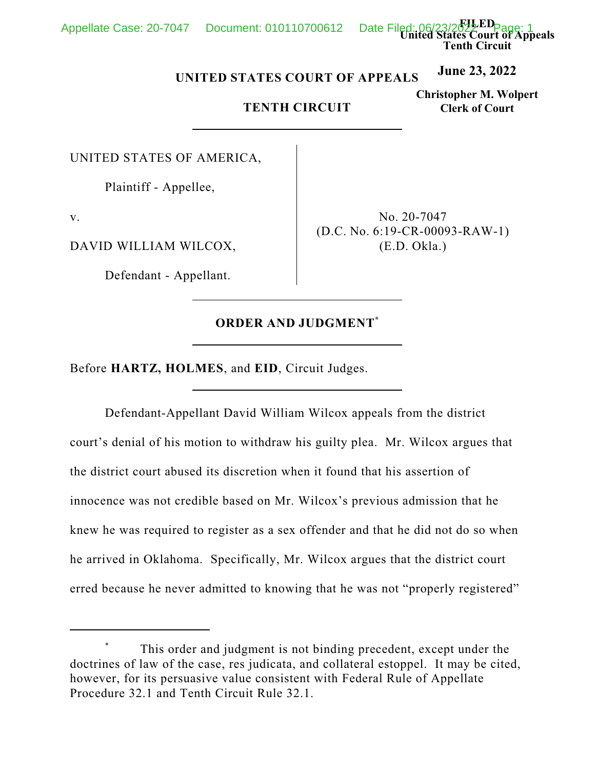Appellate Case: 20-7047 Document: 010110700612

**FILED United States Court of Appeals Tenth Circuit**

#### **June 23, 2022 UNITED STATES COURT OF APPEALS**

# **TENTH CIRCUIT**

**Christopher M. Wolpert Clerk of Court**

UNITED STATES OF AMERICA,

Plaintiff - Appellee,

v.

DAVID WILLIAM WILCOX,

Defendant - Appellant.

No. 20-7047 (D.C. No. 6:19-CR-00093-RAW-1) (E.D. Okla.)

# **ORDER AND JUDGMENT \***

Before **HARTZ, HOLMES**, and **EID**, Circuit Judges.

Defendant-Appellant David William Wilcox appeals from the district court's denial of his motion to withdraw his guilty plea. Mr. Wilcox argues that the district court abused its discretion when it found that his assertion of innocence was not credible based on Mr. Wilcox's previous admission that he knew he was required to register as a sex offender and that he did not do so when he arrived in Oklahoma. Specifically, Mr. Wilcox argues that the district court erred because he never admitted to knowing that he was not "properly registered"

This order and judgment is not binding precedent, except under the doctrines of law of the case, res judicata, and collateral estoppel. It may be cited, however, for its persuasive value consistent with Federal Rule of Appellate Procedure 32.1 and Tenth Circuit Rule 32.1.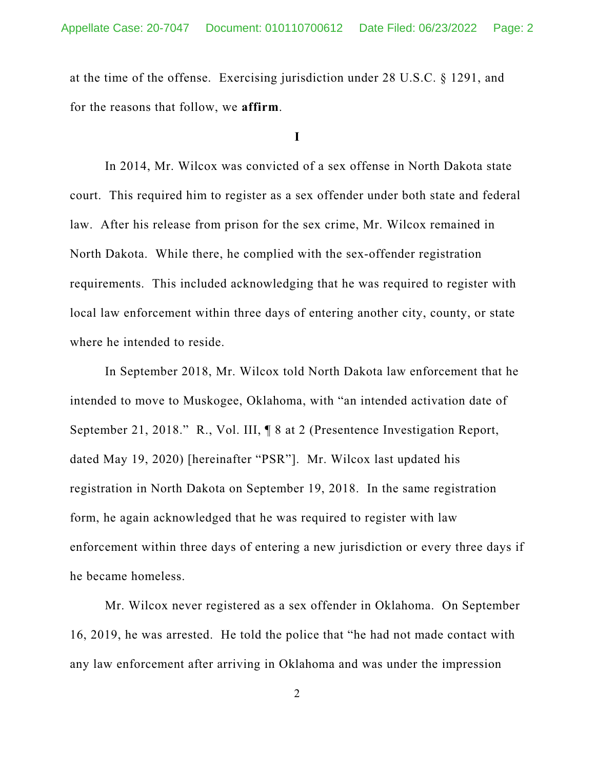at the time of the offense. Exercising jurisdiction under 28 U.S.C. § 1291, and for the reasons that follow, we **affirm**.

## **I**

In 2014, Mr. Wilcox was convicted of a sex offense in North Dakota state court. This required him to register as a sex offender under both state and federal law. After his release from prison for the sex crime, Mr. Wilcox remained in North Dakota. While there, he complied with the sex-offender registration requirements. This included acknowledging that he was required to register with local law enforcement within three days of entering another city, county, or state where he intended to reside.

In September 2018, Mr. Wilcox told North Dakota law enforcement that he intended to move to Muskogee, Oklahoma, with "an intended activation date of September 21, 2018." R., Vol. III, ¶ 8 at 2 (Presentence Investigation Report, dated May 19, 2020) [hereinafter "PSR"]. Mr. Wilcox last updated his registration in North Dakota on September 19, 2018. In the same registration form, he again acknowledged that he was required to register with law enforcement within three days of entering a new jurisdiction or every three days if he became homeless.

Mr. Wilcox never registered as a sex offender in Oklahoma. On September 16, 2019, he was arrested. He told the police that "he had not made contact with any law enforcement after arriving in Oklahoma and was under the impression

2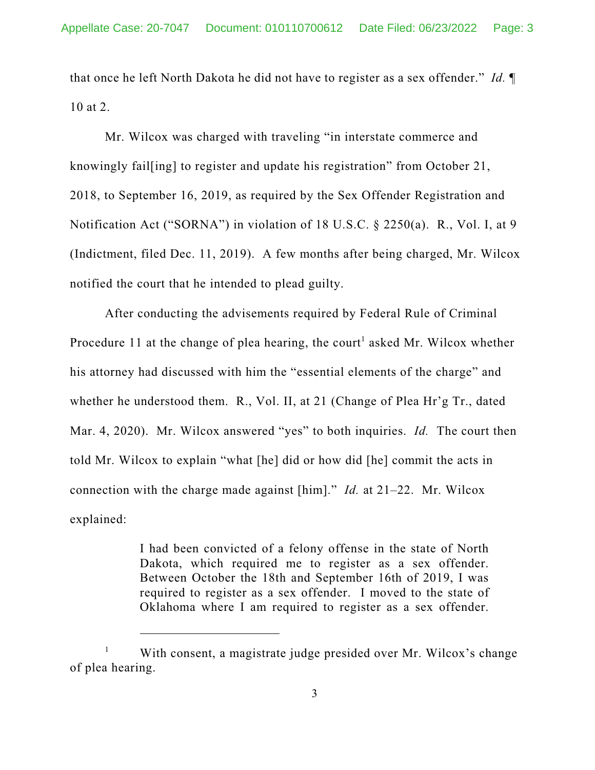that once he left North Dakota he did not have to register as a sex offender." *Id.* ¶ 10 at 2.

Mr. Wilcox was charged with traveling "in interstate commerce and knowingly fail[ing] to register and update his registration" from October 21, 2018, to September 16, 2019, as required by the Sex Offender Registration and Notification Act ("SORNA") in violation of 18 U.S.C. § 2250(a). R., Vol. I, at 9 (Indictment, filed Dec. 11, 2019). A few months after being charged, Mr. Wilcox notified the court that he intended to plead guilty.

After conducting the advisements required by Federal Rule of Criminal Procedure 11 at the change of plea hearing, the court<sup>1</sup> asked Mr. Wilcox whether his attorney had discussed with him the "essential elements of the charge" and whether he understood them. R., Vol. II, at 21 (Change of Plea Hr'g Tr., dated Mar. 4, 2020). Mr. Wilcox answered "yes" to both inquiries. *Id.* The court then told Mr. Wilcox to explain "what [he] did or how did [he] commit the acts in connection with the charge made against [him]." *Id.* at 21–22. Mr. Wilcox explained:

> I had been convicted of a felony offense in the state of North Dakota, which required me to register as a sex offender. Between October the 18th and September 16th of 2019, I was required to register as a sex offender. I moved to the state of Oklahoma where I am required to register as a sex offender.

<sup>&</sup>lt;sup>1</sup> With consent, a magistrate judge presided over Mr. Wilcox's change of plea hearing.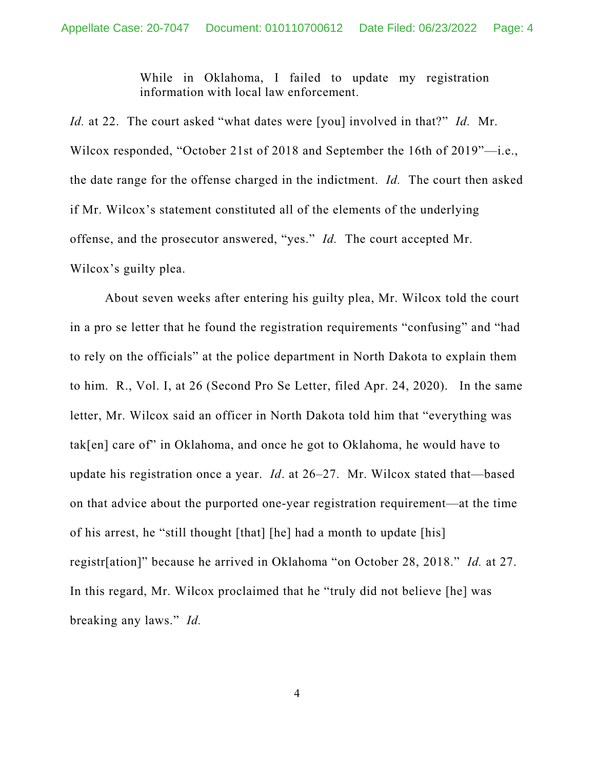While in Oklahoma, I failed to update my registration information with local law enforcement.

*Id.* at 22. The court asked "what dates were [you] involved in that?" *Id.* Mr. Wilcox responded, "October 21st of 2018 and September the 16th of 2019"—i.e., the date range for the offense charged in the indictment. *Id.* The court then asked if Mr. Wilcox's statement constituted all of the elements of the underlying offense, and the prosecutor answered, "yes." *Id.* The court accepted Mr. Wilcox's guilty plea.

About seven weeks after entering his guilty plea, Mr. Wilcox told the court in a pro se letter that he found the registration requirements "confusing" and "had to rely on the officials" at the police department in North Dakota to explain them to him. R., Vol. I, at 26 (Second Pro Se Letter, filed Apr. 24, 2020). In the same letter, Mr. Wilcox said an officer in North Dakota told him that "everything was tak[en] care of" in Oklahoma, and once he got to Oklahoma, he would have to update his registration once a year. *Id*. at 26–27. Mr. Wilcox stated that—based on that advice about the purported one-year registration requirement—at the time of his arrest, he "still thought [that] [he] had a month to update [his] registr[ation]" because he arrived in Oklahoma "on October 28, 2018." *Id.* at 27. In this regard, Mr. Wilcox proclaimed that he "truly did not believe [he] was breaking any laws." *Id.*

4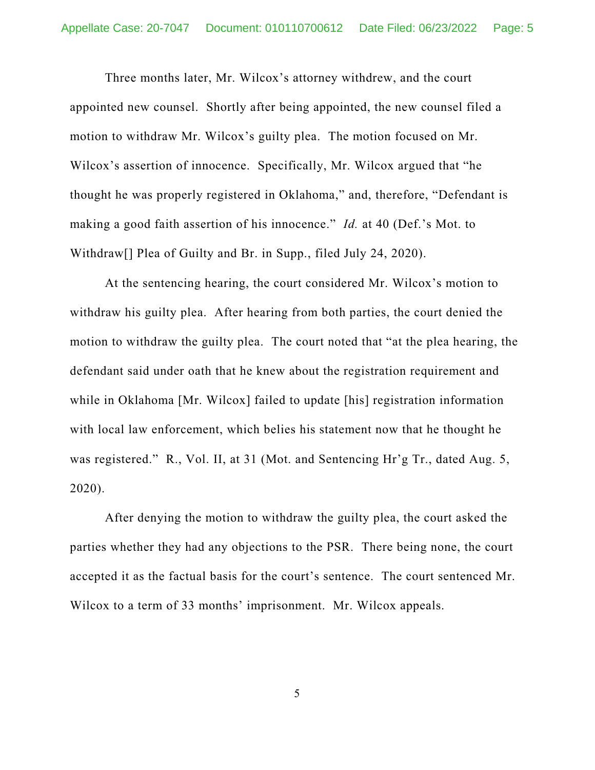Three months later, Mr. Wilcox's attorney withdrew, and the court appointed new counsel. Shortly after being appointed, the new counsel filed a motion to withdraw Mr. Wilcox's guilty plea. The motion focused on Mr. Wilcox's assertion of innocence. Specifically, Mr. Wilcox argued that "he thought he was properly registered in Oklahoma," and, therefore, "Defendant is making a good faith assertion of his innocence." *Id.* at 40 (Def.'s Mot. to Withdraw[] Plea of Guilty and Br. in Supp., filed July 24, 2020).

At the sentencing hearing, the court considered Mr. Wilcox's motion to withdraw his guilty plea. After hearing from both parties, the court denied the motion to withdraw the guilty plea. The court noted that "at the plea hearing, the defendant said under oath that he knew about the registration requirement and while in Oklahoma [Mr. Wilcox] failed to update [his] registration information with local law enforcement, which belies his statement now that he thought he was registered." R., Vol. II, at 31 (Mot. and Sentencing Hr'g Tr., dated Aug. 5, 2020).

After denying the motion to withdraw the guilty plea, the court asked the parties whether they had any objections to the PSR. There being none, the court accepted it as the factual basis for the court's sentence. The court sentenced Mr. Wilcox to a term of 33 months' imprisonment. Mr. Wilcox appeals.

5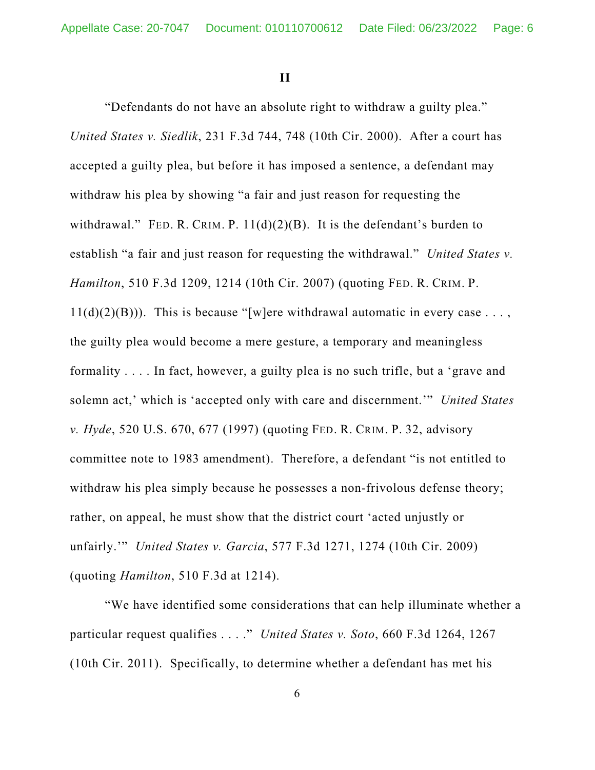**II**

"Defendants do not have an absolute right to withdraw a guilty plea." *United States v. Siedlik*, 231 F.3d 744, 748 (10th Cir. 2000). After a court has accepted a guilty plea, but before it has imposed a sentence, a defendant may withdraw his plea by showing "a fair and just reason for requesting the withdrawal." FED. R. CRIM. P.  $11(d)(2)(B)$ . It is the defendant's burden to establish "a fair and just reason for requesting the withdrawal." *United States v. Hamilton*, 510 F.3d 1209, 1214 (10th Cir. 2007) (quoting FED. R. CRIM. P.  $11(d)(2)(B))$ ). This is because "[w]ere withdrawal automatic in every case ..., the guilty plea would become a mere gesture, a temporary and meaningless formality . . . . In fact, however, a guilty plea is no such trifle, but a 'grave and solemn act,' which is 'accepted only with care and discernment.'" *United States v. Hyde*, 520 U.S. 670, 677 (1997) (quoting FED. R. CRIM. P. 32, advisory committee note to 1983 amendment). Therefore, a defendant "is not entitled to withdraw his plea simply because he possesses a non-frivolous defense theory; rather, on appeal, he must show that the district court 'acted unjustly or unfairly.'" *United States v. Garcia*, 577 F.3d 1271, 1274 (10th Cir. 2009) (quoting *Hamilton*, 510 F.3d at 1214).

"We have identified some considerations that can help illuminate whether a particular request qualifies . . . ." *United States v. Soto*, 660 F.3d 1264, 1267 (10th Cir. 2011). Specifically, to determine whether a defendant has met his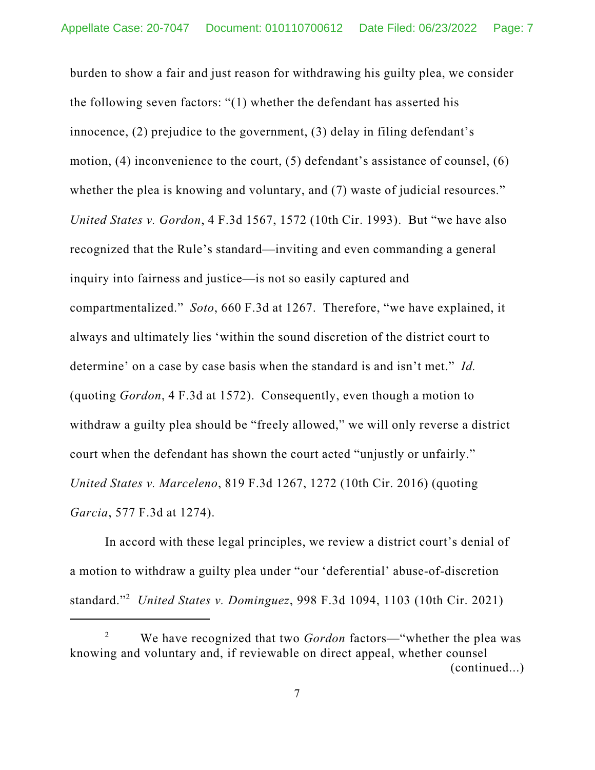burden to show a fair and just reason for withdrawing his guilty plea, we consider the following seven factors: "(1) whether the defendant has asserted his innocence, (2) prejudice to the government, (3) delay in filing defendant's motion, (4) inconvenience to the court, (5) defendant's assistance of counsel, (6) whether the plea is knowing and voluntary, and (7) waste of judicial resources." *United States v. Gordon*, 4 F.3d 1567, 1572 (10th Cir. 1993). But "we have also recognized that the Rule's standard—inviting and even commanding a general inquiry into fairness and justice—is not so easily captured and compartmentalized." *Soto*, 660 F.3d at 1267. Therefore, "we have explained, it always and ultimately lies 'within the sound discretion of the district court to determine' on a case by case basis when the standard is and isn't met." *Id.* (quoting *Gordon*, 4 F.3d at 1572). Consequently, even though a motion to withdraw a guilty plea should be "freely allowed," we will only reverse a district court when the defendant has shown the court acted "unjustly or unfairly." *United States v. Marceleno*, 819 F.3d 1267, 1272 (10th Cir. 2016) (quoting *Garcia*, 577 F.3d at 1274).

In accord with these legal principles, we review a district court's denial of a motion to withdraw a guilty plea under "our 'deferential' abuse-of-discretion standard." <sup>2</sup> *United States v. Dominguez*, 998 F.3d 1094, 1103 (10th Cir. 2021)

<sup>2</sup> We have recognized that two *Gordon* factors—"whether the plea was knowing and voluntary and, if reviewable on direct appeal, whether counsel (continued...)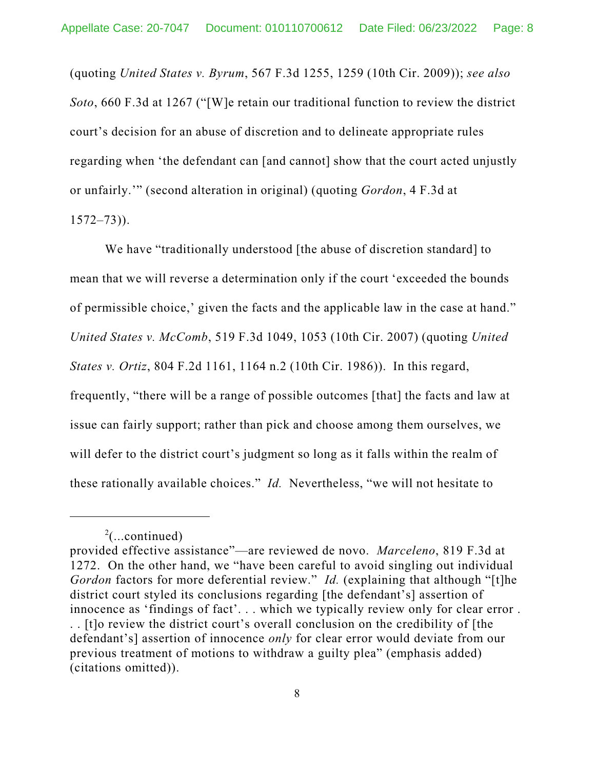(quoting *United States v. Byrum*, 567 F.3d 1255, 1259 (10th Cir. 2009)); *see also Soto*, 660 F.3d at 1267 ("[W]e retain our traditional function to review the district court's decision for an abuse of discretion and to delineate appropriate rules regarding when 'the defendant can [and cannot] show that the court acted unjustly or unfairly.'" (second alteration in original) (quoting *Gordon*, 4 F.3d at  $1572 - 73$ ).

We have "traditionally understood [the abuse of discretion standard] to mean that we will reverse a determination only if the court 'exceeded the bounds of permissible choice,' given the facts and the applicable law in the case at hand." *United States v. McComb*, 519 F.3d 1049, 1053 (10th Cir. 2007) (quoting *United States v. Ortiz*, 804 F.2d 1161, 1164 n.2 (10th Cir. 1986)). In this regard, frequently, "there will be a range of possible outcomes [that] the facts and law at issue can fairly support; rather than pick and choose among them ourselves, we will defer to the district court's judgment so long as it falls within the realm of these rationally available choices." *Id.* Nevertheless, "we will not hesitate to

 $2$ (...continued)

provided effective assistance"—are reviewed de novo. *Marceleno*, 819 F.3d at 1272. On the other hand, we "have been careful to avoid singling out individual *Gordon* factors for more deferential review." *Id.* (explaining that although "[t]he district court styled its conclusions regarding [the defendant's] assertion of innocence as 'findings of fact'. . . which we typically review only for clear error . . . [t]o review the district court's overall conclusion on the credibility of [the defendant's] assertion of innocence *only* for clear error would deviate from our previous treatment of motions to withdraw a guilty plea" (emphasis added) (citations omitted)).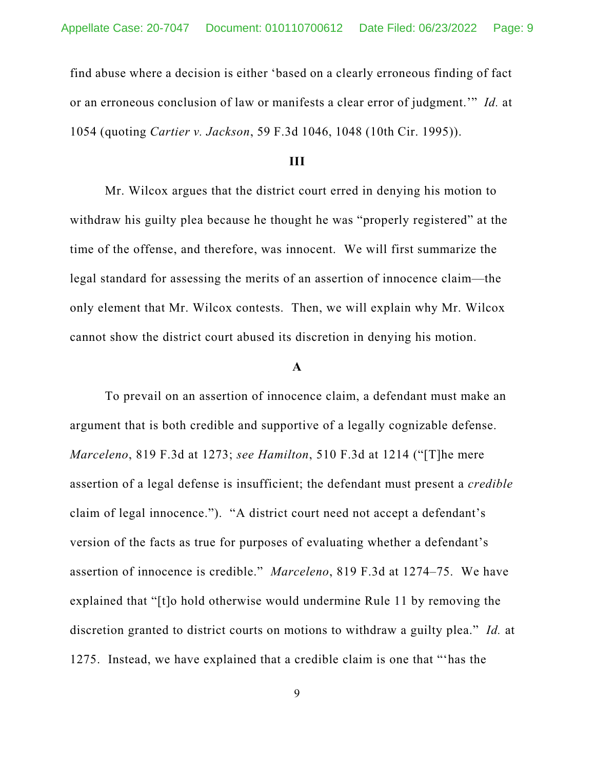find abuse where a decision is either 'based on a clearly erroneous finding of fact or an erroneous conclusion of law or manifests a clear error of judgment.'" *Id.* at 1054 (quoting *Cartier v. Jackson*, 59 F.3d 1046, 1048 (10th Cir. 1995)).

# **III**

Mr. Wilcox argues that the district court erred in denying his motion to withdraw his guilty plea because he thought he was "properly registered" at the time of the offense, and therefore, was innocent. We will first summarize the legal standard for assessing the merits of an assertion of innocence claim—the only element that Mr. Wilcox contests. Then, we will explain why Mr. Wilcox cannot show the district court abused its discretion in denying his motion.

## **A**

To prevail on an assertion of innocence claim, a defendant must make an argument that is both credible and supportive of a legally cognizable defense. *Marceleno*, 819 F.3d at 1273; *see Hamilton*, 510 F.3d at 1214 ("[T]he mere assertion of a legal defense is insufficient; the defendant must present a *credible* claim of legal innocence."). "A district court need not accept a defendant's version of the facts as true for purposes of evaluating whether a defendant's assertion of innocence is credible." *Marceleno*, 819 F.3d at 1274–75. We have explained that "[t]o hold otherwise would undermine Rule 11 by removing the discretion granted to district courts on motions to withdraw a guilty plea." *Id.* at 1275. Instead, we have explained that a credible claim is one that "'has the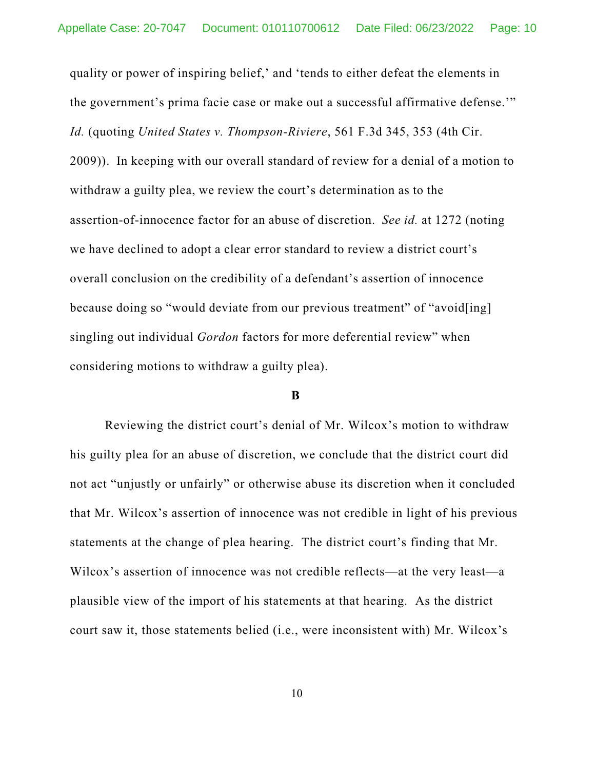quality or power of inspiring belief,' and 'tends to either defeat the elements in the government's prima facie case or make out a successful affirmative defense.'" *Id.* (quoting *United States v. Thompson-Riviere*, 561 F.3d 345, 353 (4th Cir. 2009)). In keeping with our overall standard of review for a denial of a motion to withdraw a guilty plea, we review the court's determination as to the assertion-of-innocence factor for an abuse of discretion. *See id.* at 1272 (noting we have declined to adopt a clear error standard to review a district court's overall conclusion on the credibility of a defendant's assertion of innocence because doing so "would deviate from our previous treatment" of "avoid[ing] singling out individual *Gordon* factors for more deferential review" when considering motions to withdraw a guilty plea).

### **B**

Reviewing the district court's denial of Mr. Wilcox's motion to withdraw his guilty plea for an abuse of discretion, we conclude that the district court did not act "unjustly or unfairly" or otherwise abuse its discretion when it concluded that Mr. Wilcox's assertion of innocence was not credible in light of his previous statements at the change of plea hearing. The district court's finding that Mr. Wilcox's assertion of innocence was not credible reflects—at the very least—a plausible view of the import of his statements at that hearing. As the district court saw it, those statements belied (i.e., were inconsistent with) Mr. Wilcox's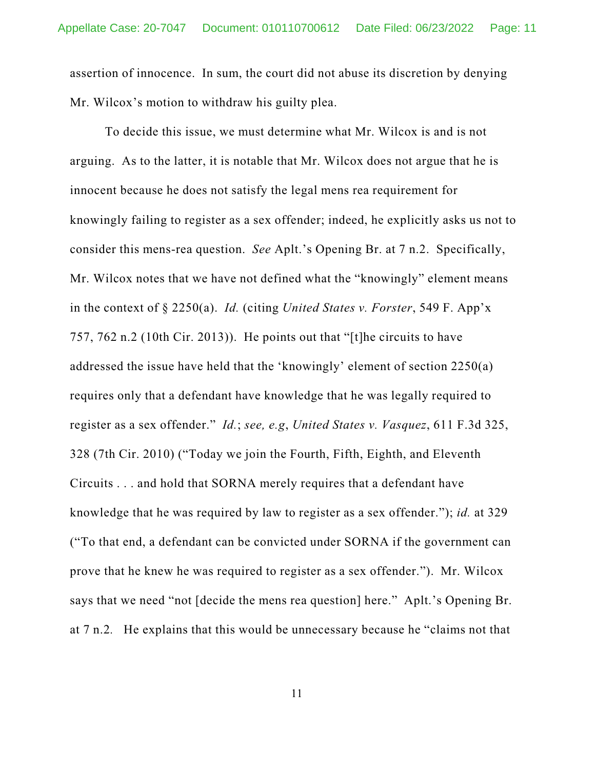assertion of innocence. In sum, the court did not abuse its discretion by denying Mr. Wilcox's motion to withdraw his guilty plea.

To decide this issue, we must determine what Mr. Wilcox is and is not arguing. As to the latter, it is notable that Mr. Wilcox does not argue that he is innocent because he does not satisfy the legal mens rea requirement for knowingly failing to register as a sex offender; indeed, he explicitly asks us not to consider this mens-rea question. *See* Aplt.'s Opening Br. at 7 n.2. Specifically, Mr. Wilcox notes that we have not defined what the "knowingly" element means in the context of § 2250(a). *Id.* (citing *United States v. Forster*, 549 F. App'x 757, 762 n.2 (10th Cir. 2013)). He points out that "[t]he circuits to have addressed the issue have held that the 'knowingly' element of section 2250(a) requires only that a defendant have knowledge that he was legally required to register as a sex offender." *Id.*; *see, e.g*, *United States v. Vasquez*, 611 F.3d 325, 328 (7th Cir. 2010) ("Today we join the Fourth, Fifth, Eighth, and Eleventh Circuits . . . and hold that SORNA merely requires that a defendant have knowledge that he was required by law to register as a sex offender."); *id.* at 329 ("To that end, a defendant can be convicted under SORNA if the government can prove that he knew he was required to register as a sex offender."). Mr. Wilcox says that we need "not [decide the mens rea question] here." Aplt.'s Opening Br. at 7 n.2*.* He explains that this would be unnecessary because he "claims not that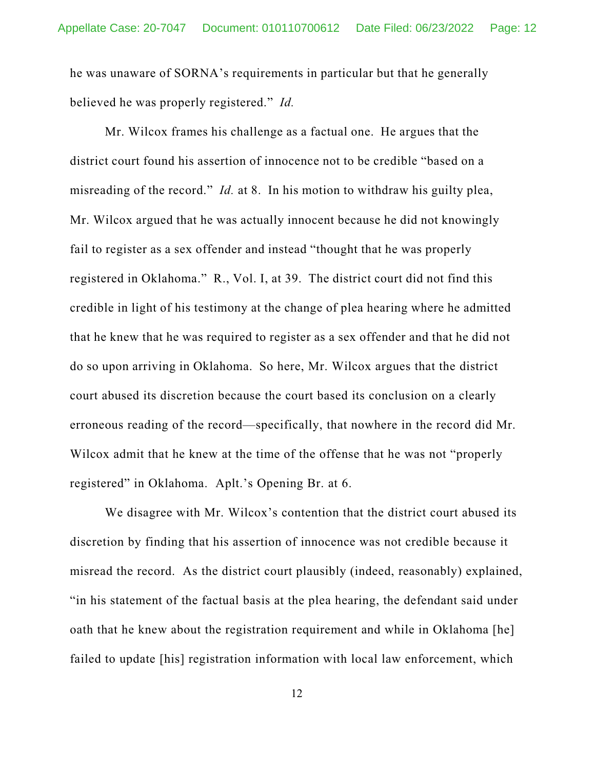he was unaware of SORNA's requirements in particular but that he generally believed he was properly registered." *Id.*

Mr. Wilcox frames his challenge as a factual one. He argues that the district court found his assertion of innocence not to be credible "based on a misreading of the record." *Id.* at 8. In his motion to withdraw his guilty plea, Mr. Wilcox argued that he was actually innocent because he did not knowingly fail to register as a sex offender and instead "thought that he was properly registered in Oklahoma." R., Vol. I, at 39. The district court did not find this credible in light of his testimony at the change of plea hearing where he admitted that he knew that he was required to register as a sex offender and that he did not do so upon arriving in Oklahoma. So here, Mr. Wilcox argues that the district court abused its discretion because the court based its conclusion on a clearly erroneous reading of the record—specifically, that nowhere in the record did Mr. Wilcox admit that he knew at the time of the offense that he was not "properly registered" in Oklahoma. Aplt.'s Opening Br. at 6.

We disagree with Mr. Wilcox's contention that the district court abused its discretion by finding that his assertion of innocence was not credible because it misread the record. As the district court plausibly (indeed, reasonably) explained, "in his statement of the factual basis at the plea hearing, the defendant said under oath that he knew about the registration requirement and while in Oklahoma [he] failed to update [his] registration information with local law enforcement, which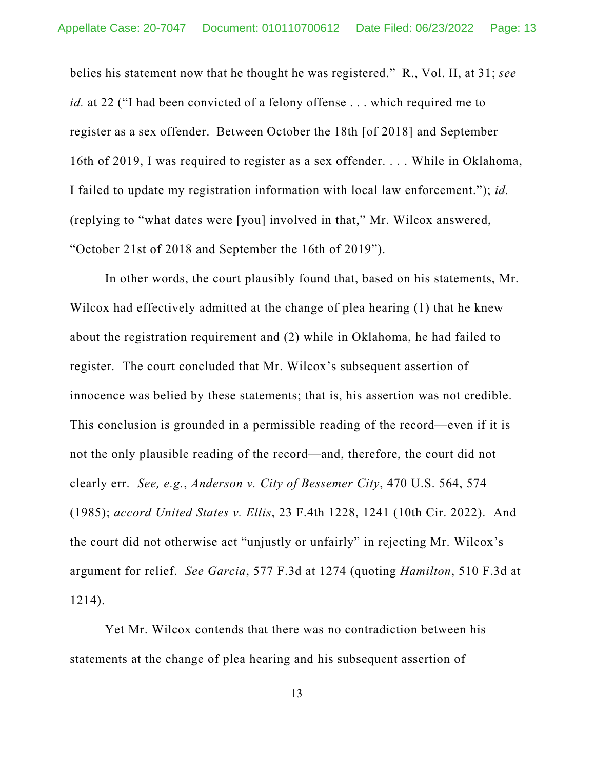belies his statement now that he thought he was registered." R., Vol. II, at 31; *see id.* at 22 ("I had been convicted of a felony offense . . . which required me to register as a sex offender. Between October the 18th [of 2018] and September 16th of 2019, I was required to register as a sex offender. . . . While in Oklahoma, I failed to update my registration information with local law enforcement."); *id.* (replying to "what dates were [you] involved in that," Mr. Wilcox answered, "October 21st of 2018 and September the 16th of 2019").

In other words, the court plausibly found that, based on his statements, Mr. Wilcox had effectively admitted at the change of plea hearing (1) that he knew about the registration requirement and (2) while in Oklahoma, he had failed to register. The court concluded that Mr. Wilcox's subsequent assertion of innocence was belied by these statements; that is, his assertion was not credible. This conclusion is grounded in a permissible reading of the record—even if it is not the only plausible reading of the record—and, therefore, the court did not clearly err. *See, e.g.*, *Anderson v. City of Bessemer City*, 470 U.S. 564, 574 (1985); *accord United States v. Ellis*, 23 F.4th 1228, 1241 (10th Cir. 2022). And the court did not otherwise act "unjustly or unfairly" in rejecting Mr. Wilcox's argument for relief. *See Garcia*, 577 F.3d at 1274 (quoting *Hamilton*, 510 F.3d at 1214).

Yet Mr. Wilcox contends that there was no contradiction between his statements at the change of plea hearing and his subsequent assertion of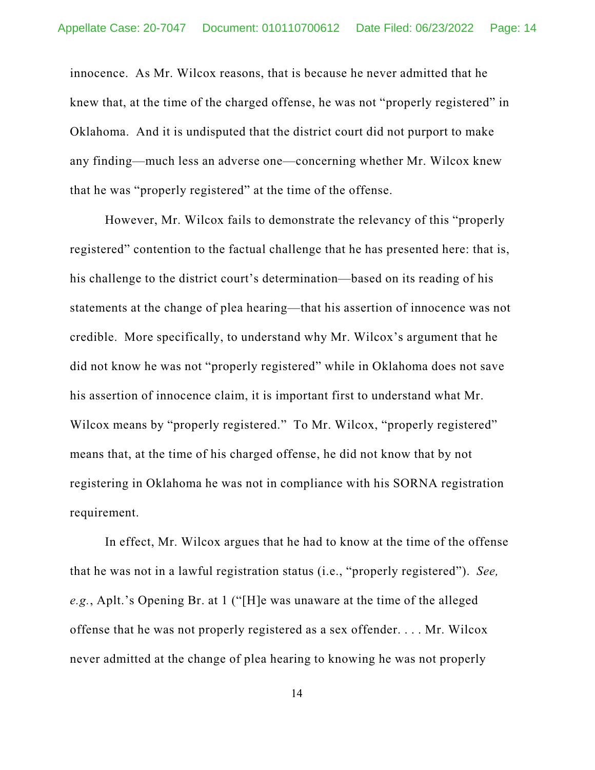innocence. As Mr. Wilcox reasons, that is because he never admitted that he knew that, at the time of the charged offense, he was not "properly registered" in Oklahoma. And it is undisputed that the district court did not purport to make any finding—much less an adverse one—concerning whether Mr. Wilcox knew that he was "properly registered" at the time of the offense.

However, Mr. Wilcox fails to demonstrate the relevancy of this "properly registered" contention to the factual challenge that he has presented here: that is, his challenge to the district court's determination—based on its reading of his statements at the change of plea hearing—that his assertion of innocence was not credible. More specifically, to understand why Mr. Wilcox's argument that he did not know he was not "properly registered" while in Oklahoma does not save his assertion of innocence claim, it is important first to understand what Mr. Wilcox means by "properly registered." To Mr. Wilcox, "properly registered" means that, at the time of his charged offense, he did not know that by not registering in Oklahoma he was not in compliance with his SORNA registration requirement.

In effect, Mr. Wilcox argues that he had to know at the time of the offense that he was not in a lawful registration status (i.e., "properly registered"). *See, e.g.*, Aplt.'s Opening Br. at 1 ("[H]e was unaware at the time of the alleged offense that he was not properly registered as a sex offender. . . . Mr. Wilcox never admitted at the change of plea hearing to knowing he was not properly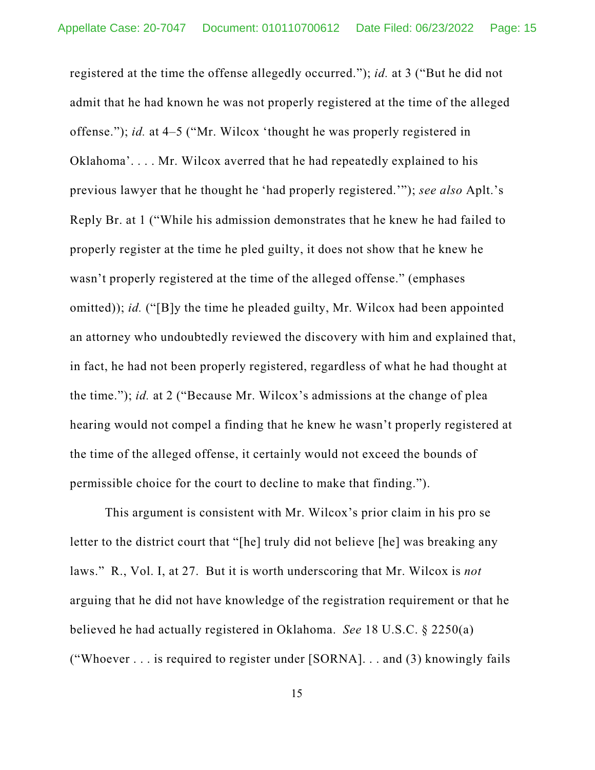registered at the time the offense allegedly occurred."); *id.* at 3 ("But he did not admit that he had known he was not properly registered at the time of the alleged offense."); *id.* at 4–5 ("Mr. Wilcox 'thought he was properly registered in Oklahoma'. . . . Mr. Wilcox averred that he had repeatedly explained to his previous lawyer that he thought he 'had properly registered.'"); *see also* Aplt.'s Reply Br. at 1 ("While his admission demonstrates that he knew he had failed to properly register at the time he pled guilty, it does not show that he knew he wasn't properly registered at the time of the alleged offense." (emphases omitted)); *id.* ("[B]y the time he pleaded guilty, Mr. Wilcox had been appointed an attorney who undoubtedly reviewed the discovery with him and explained that, in fact, he had not been properly registered, regardless of what he had thought at the time."); *id.* at 2 ("Because Mr. Wilcox's admissions at the change of plea hearing would not compel a finding that he knew he wasn't properly registered at the time of the alleged offense, it certainly would not exceed the bounds of permissible choice for the court to decline to make that finding.").

This argument is consistent with Mr. Wilcox's prior claim in his pro se letter to the district court that "[he] truly did not believe [he] was breaking any laws." R., Vol. I, at 27. But it is worth underscoring that Mr. Wilcox is *not* arguing that he did not have knowledge of the registration requirement or that he believed he had actually registered in Oklahoma. *See* 18 U.S.C. § 2250(a) ("Whoever . . . is required to register under [SORNA]. . . and (3) knowingly fails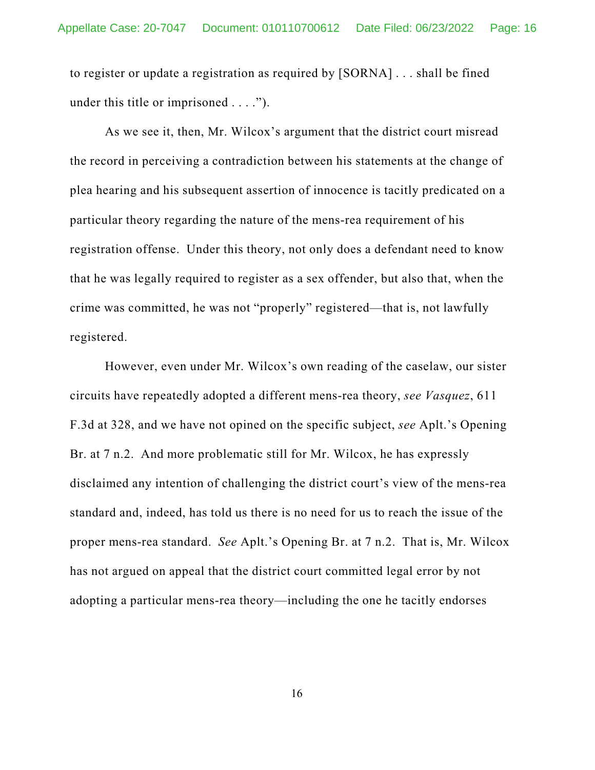to register or update a registration as required by [SORNA] . . . shall be fined under this title or imprisoned . . . .").

As we see it, then, Mr. Wilcox's argument that the district court misread the record in perceiving a contradiction between his statements at the change of plea hearing and his subsequent assertion of innocence is tacitly predicated on a particular theory regarding the nature of the mens-rea requirement of his registration offense. Under this theory, not only does a defendant need to know that he was legally required to register as a sex offender, but also that, when the crime was committed, he was not "properly" registered—that is, not lawfully registered.

However, even under Mr. Wilcox's own reading of the caselaw, our sister circuits have repeatedly adopted a different mens-rea theory, *see Vasquez*, 611 F.3d at 328, and we have not opined on the specific subject, *see* Aplt.'s Opening Br. at 7 n.2. And more problematic still for Mr. Wilcox, he has expressly disclaimed any intention of challenging the district court's view of the mens-rea standard and, indeed, has told us there is no need for us to reach the issue of the proper mens-rea standard. *See* Aplt.'s Opening Br. at 7 n.2. That is, Mr. Wilcox has not argued on appeal that the district court committed legal error by not adopting a particular mens-rea theory—including the one he tacitly endorses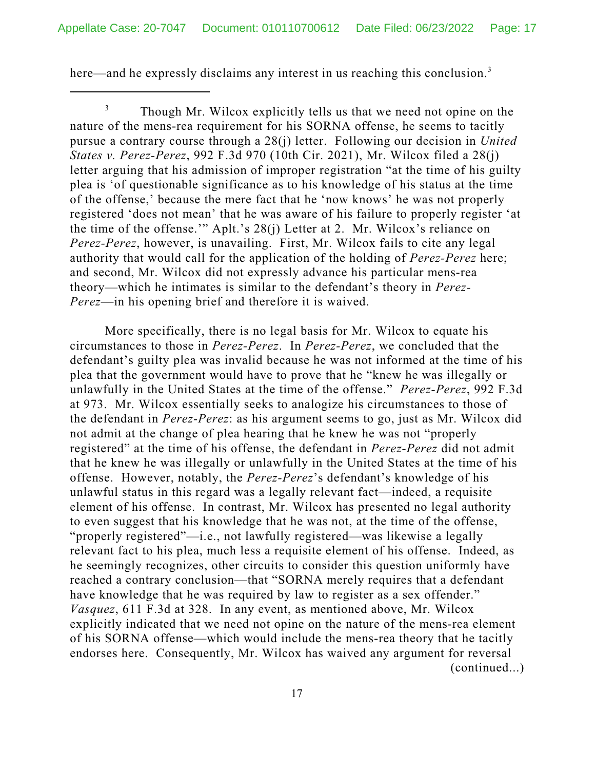here—and he expressly disclaims any interest in us reaching this conclusion.<sup>3</sup>

<sup>3</sup> Though Mr. Wilcox explicitly tells us that we need not opine on the nature of the mens-rea requirement for his SORNA offense, he seems to tacitly pursue a contrary course through a 28(j) letter. Following our decision in *United States v. Perez-Perez*, 992 F.3d 970 (10th Cir. 2021), Mr. Wilcox filed a 28(j) letter arguing that his admission of improper registration "at the time of his guilty plea is 'of questionable significance as to his knowledge of his status at the time of the offense,' because the mere fact that he 'now knows' he was not properly registered 'does not mean' that he was aware of his failure to properly register 'at the time of the offense.'" Aplt.'s 28(j) Letter at 2. Mr. Wilcox's reliance on *Perez-Perez*, however, is unavailing. First, Mr. Wilcox fails to cite any legal authority that would call for the application of the holding of *Perez-Perez* here; and second, Mr. Wilcox did not expressly advance his particular mens-rea theory—which he intimates is similar to the defendant's theory in *Perez-Perez*—in his opening brief and therefore it is waived.

More specifically, there is no legal basis for Mr. Wilcox to equate his circumstances to those in *Perez-Perez*. In *Perez-Perez*, we concluded that the defendant's guilty plea was invalid because he was not informed at the time of his plea that the government would have to prove that he "knew he was illegally or unlawfully in the United States at the time of the offense." *Perez-Perez*, 992 F.3d at 973. Mr. Wilcox essentially seeks to analogize his circumstances to those of the defendant in *Perez-Perez*: as his argument seems to go, just as Mr. Wilcox did not admit at the change of plea hearing that he knew he was not "properly registered" at the time of his offense, the defendant in *Perez-Perez* did not admit that he knew he was illegally or unlawfully in the United States at the time of his offense. However, notably, the *Perez-Perez*'s defendant's knowledge of his unlawful status in this regard was a legally relevant fact—indeed, a requisite element of his offense. In contrast, Mr. Wilcox has presented no legal authority to even suggest that his knowledge that he was not, at the time of the offense, "properly registered"—i.e., not lawfully registered—was likewise a legally relevant fact to his plea, much less a requisite element of his offense. Indeed, as he seemingly recognizes, other circuits to consider this question uniformly have reached a contrary conclusion—that "SORNA merely requires that a defendant have knowledge that he was required by law to register as a sex offender." *Vasquez*, 611 F.3d at 328. In any event, as mentioned above, Mr. Wilcox explicitly indicated that we need not opine on the nature of the mens-rea element of his SORNA offense—which would include the mens-rea theory that he tacitly endorses here. Consequently, Mr. Wilcox has waived any argument for reversal (continued...)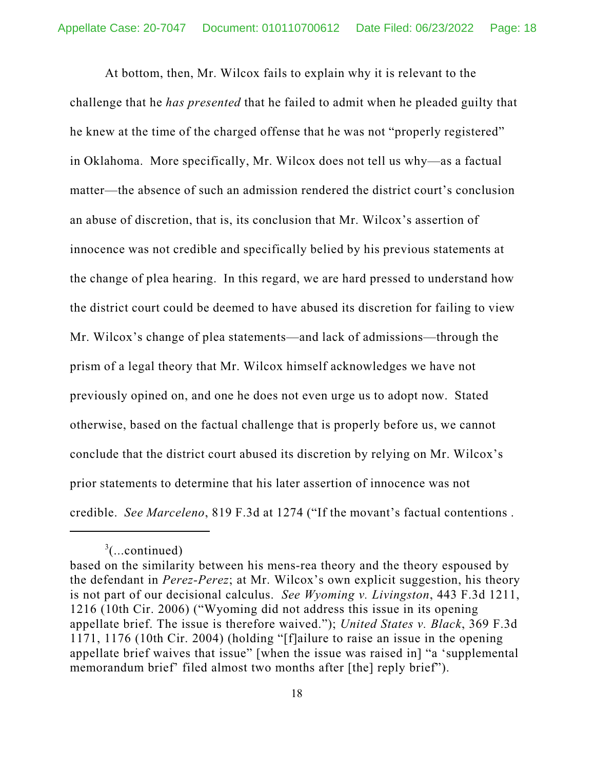At bottom, then, Mr. Wilcox fails to explain why it is relevant to the challenge that he *has presented* that he failed to admit when he pleaded guilty that he knew at the time of the charged offense that he was not "properly registered" in Oklahoma. More specifically, Mr. Wilcox does not tell us why—as a factual matter—the absence of such an admission rendered the district court's conclusion an abuse of discretion, that is, its conclusion that Mr. Wilcox's assertion of innocence was not credible and specifically belied by his previous statements at the change of plea hearing. In this regard, we are hard pressed to understand how the district court could be deemed to have abused its discretion for failing to view Mr. Wilcox's change of plea statements—and lack of admissions—through the prism of a legal theory that Mr. Wilcox himself acknowledges we have not previously opined on, and one he does not even urge us to adopt now. Stated otherwise, based on the factual challenge that is properly before us, we cannot conclude that the district court abused its discretion by relying on Mr. Wilcox's prior statements to determine that his later assertion of innocence was not credible. *See Marceleno*, 819 F.3d at 1274 ("If the movant's factual contentions .

 $3$ (...continued)

based on the similarity between his mens-rea theory and the theory espoused by the defendant in *Perez-Perez*; at Mr. Wilcox's own explicit suggestion, his theory is not part of our decisional calculus. *See Wyoming v. Livingston*, 443 F.3d 1211, 1216 (10th Cir. 2006) ("Wyoming did not address this issue in its opening appellate brief. The issue is therefore waived."); *United States v. Black*, 369 F.3d 1171, 1176 (10th Cir. 2004) (holding "[f]ailure to raise an issue in the opening appellate brief waives that issue" [when the issue was raised in] "a 'supplemental memorandum brief' filed almost two months after [the] reply brief").